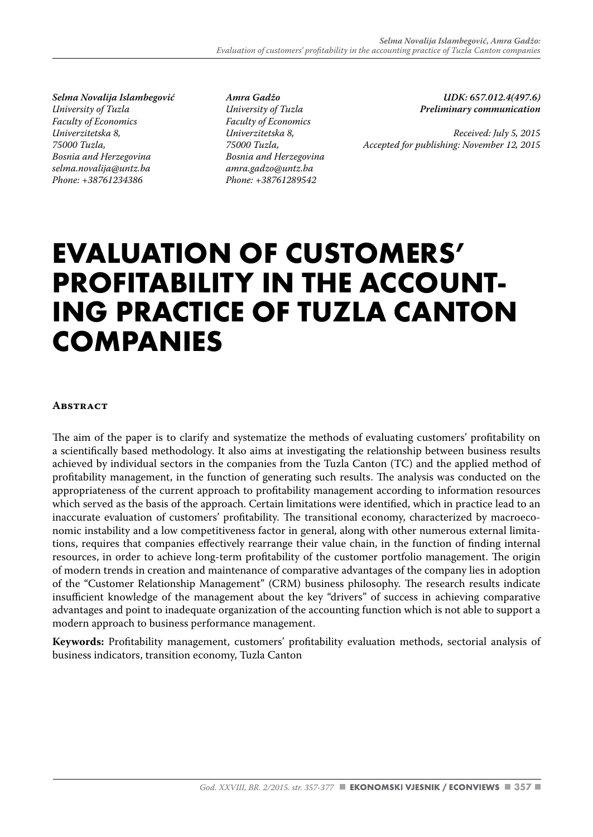*Selma Novalija Islambegović University of Tuzla Faculty of Economics Univerzitetska 8, 75000 Tuzla, Bosnia and Herzegovina selma.novalija@untz.ba Phone: +38761234386*

*Amra Gadžo University of Tuzla Faculty of Economics Univerzitetska 8, 75000 Tuzla, Bosnia and Herzegovina amra.gadzo@untz.ba Phone: +38761289542*

*UDK: 657.012.4(497.6) Preliminary communication* 

*Received: July 5, 2015 Accepted for publishing: November 12, 2015*

# **EVALUATION OF CUSTOMERS' PROFITABILITY IN THE ACCOUNT- ING PRACTICE OF TUZLA CANTON COMPANIES**

#### **ABSTRACT**

The aim of the paper is to clarify and systematize the methods of evaluating customers' profitability on a scientifically based methodology. It also aims at investigating the relationship between business results achieved by individual sectors in the companies from the Tuzla Canton (TC) and the applied method of profitability management, in the function of generating such results. The analysis was conducted on the appropriateness of the current approach to profitability management according to information resources which served as the basis of the approach. Certain limitations were identified, which in practice lead to an inaccurate evaluation of customers' profitability. The transitional economy, characterized by macroeconomic instability and a low competitiveness factor in general, along with other numerous external limitations, requires that companies effectively rearrange their value chain, in the function of finding internal resources, in order to achieve long-term profitability of the customer portfolio management. The origin of modern trends in creation and maintenance of comparative advantages of the company lies in adoption of the "Customer Relationship Management" (CRM) business philosophy. The research results indicate insufficient knowledge of the management about the key "drivers" of success in achieving comparative advantages and point to inadequate organization of the accounting function which is not able to support a modern approach to business performance management.

**Keywords:** Profitability management, customers' profitability evaluation methods, sectorial analysis of business indicators, transition economy, Tuzla Canton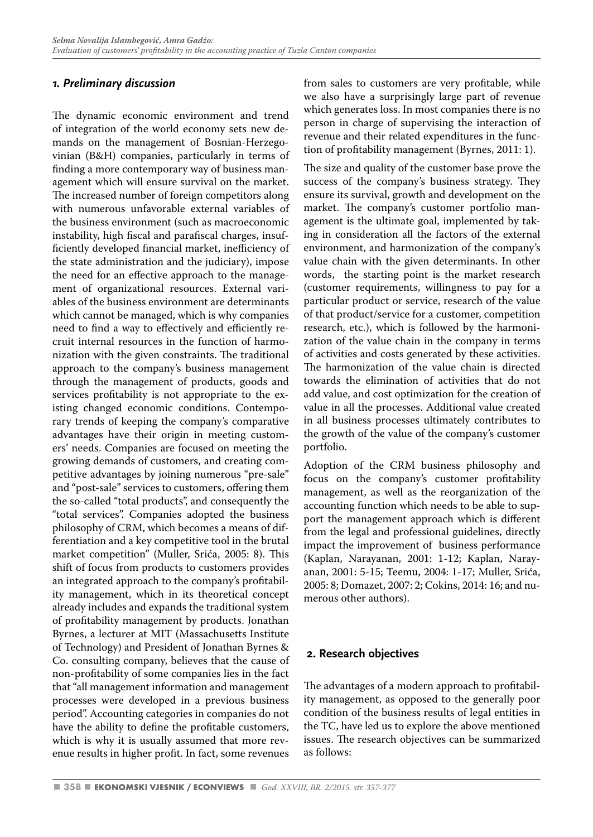# *1. Preliminary discussion*

The dynamic economic environment and trend of integration of the world economy sets new demands on the management of Bosnian-Herzegovinian (B&H) companies, particularly in terms of finding a more contemporary way of business management which will ensure survival on the market. The increased number of foreign competitors along with numerous unfavorable external variables of the business environment (such as macroeconomic instability, high fiscal and parafiscal charges, insufficiently developed financial market, inefficiency of the state administration and the judiciary), impose the need for an effective approach to the management of organizational resources. External variables of the business environment are determinants which cannot be managed, which is why companies need to find a way to effectively and efficiently recruit internal resources in the function of harmonization with the given constraints. The traditional approach to the company's business management through the management of products, goods and services profitability is not appropriate to the existing changed economic conditions. Contemporary trends of keeping the company's comparative advantages have their origin in meeting customers' needs. Companies are focused on meeting the growing demands of customers, and creating competitive advantages by joining numerous "pre-sale" and "post-sale" services to customers, offering them the so-called "total products", and consequently the "total services". Companies adopted the business philosophy of CRM, which becomes a means of differentiation and a key competitive tool in the brutal market competition" (Muller, Srića, 2005: 8). This shift of focus from products to customers provides an integrated approach to the company's profitability management, which in its theoretical concept already includes and expands the traditional system of profitability management by products. Jonathan Byrnes, a lecturer at MIT (Massachusetts Institute of Technology) and President of Jonathan Byrnes & Co. consulting company, believes that the cause of non-profitability of some companies lies in the fact that "all management information and management processes were developed in a previous business period". Accounting categories in companies do not have the ability to define the profitable customers, which is why it is usually assumed that more revenue results in higher profit. In fact, some revenues

from sales to customers are very profitable, while we also have a surprisingly large part of revenue which generates loss. In most companies there is no person in charge of supervising the interaction of revenue and their related expenditures in the function of profitability management (Byrnes, 2011: 1).

The size and quality of the customer base prove the success of the company's business strategy. They ensure its survival, growth and development on the market. The company's customer portfolio management is the ultimate goal, implemented by taking in consideration all the factors of the external environment, and harmonization of the company's value chain with the given determinants. In other words, the starting point is the market research (customer requirements, willingness to pay for a particular product or service, research of the value of that product/service for a customer, competition research, etc.), which is followed by the harmonization of the value chain in the company in terms of activities and costs generated by these activities. The harmonization of the value chain is directed towards the elimination of activities that do not add value, and cost optimization for the creation of value in all the processes. Additional value created in all business processes ultimately contributes to the growth of the value of the company's customer portfolio.

Adoption of the CRM business philosophy and focus on the company's customer profitability management, as well as the reorganization of the accounting function which needs to be able to support the management approach which is different from the legal and professional guidelines, directly impact the improvement of business performance (Kaplan, Narayanan, 2001: 1-12; Kaplan, Narayanan, 2001: 5-15; Teemu, 2004: 1-17; Muller, Srića, 2005: 8; Domazet, 2007: 2; Cokins, 2014: 16; and numerous other authors).

# **2. Research objectives**

The advantages of a modern approach to profitability management, as opposed to the generally poor condition of the business results of legal entities in the TC, have led us to explore the above mentioned issues. The research objectives can be summarized as follows: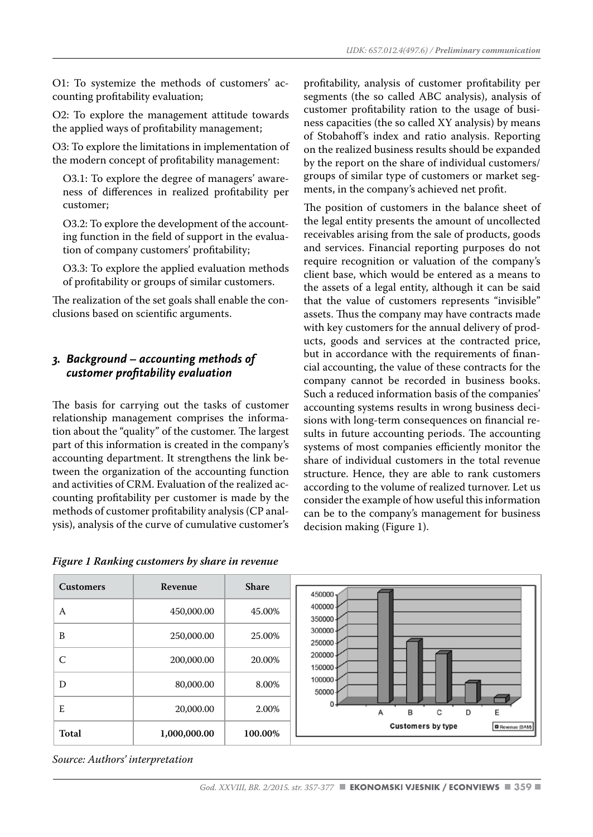O1: To systemize the methods of customers' accounting profitability evaluation;

O2: To explore the management attitude towards the applied ways of profitability management;

O3: To explore the limitations in implementation of the modern concept of profitability management:

O3.1: To explore the degree of managers' awareness of differences in realized profitability per customer;

O3.2: To explore the development of the accounting function in the field of support in the evaluation of company customers' profitability;

O3.3: To explore the applied evaluation methods of profitability or groups of similar customers.

The realization of the set goals shall enable the conclusions based on scientific arguments.

### *3. Background – accounting methods of customer profitability evaluation*

The basis for carrying out the tasks of customer relationship management comprises the information about the "quality" of the customer. The largest part of this information is created in the company's accounting department. It strengthens the link between the organization of the accounting function and activities of CRM. Evaluation of the realized accounting profitability per customer is made by the methods of customer profitability analysis (CP analysis), analysis of the curve of cumulative customer's

*Figure 1 Ranking customers by share in revenue*

profitability, analysis of customer profitability per segments (the so called ABC analysis), analysis of customer profitability ration to the usage of business capacities (the so called XY analysis) by means of Stobahoff's index and ratio analysis. Reporting on the realized business results should be expanded by the report on the share of individual customers/ groups of similar type of customers or market segments, in the company's achieved net profit.

The position of customers in the balance sheet of the legal entity presents the amount of uncollected receivables arising from the sale of products, goods and services. Financial reporting purposes do not require recognition or valuation of the company's client base, which would be entered as a means to the assets of a legal entity, although it can be said that the value of customers represents "invisible" assets. Thus the company may have contracts made with key customers for the annual delivery of products, goods and services at the contracted price, but in accordance with the requirements of financial accounting, the value of these contracts for the company cannot be recorded in business books. Such a reduced information basis of the companies' accounting systems results in wrong business decisions with long-term consequences on financial results in future accounting periods. The accounting systems of most companies efficiently monitor the share of individual customers in the total revenue structure. Hence, they are able to rank customers according to the volume of realized turnover. Let us consider the example of how useful this information can be to the company's management for business decision making (Figure 1).

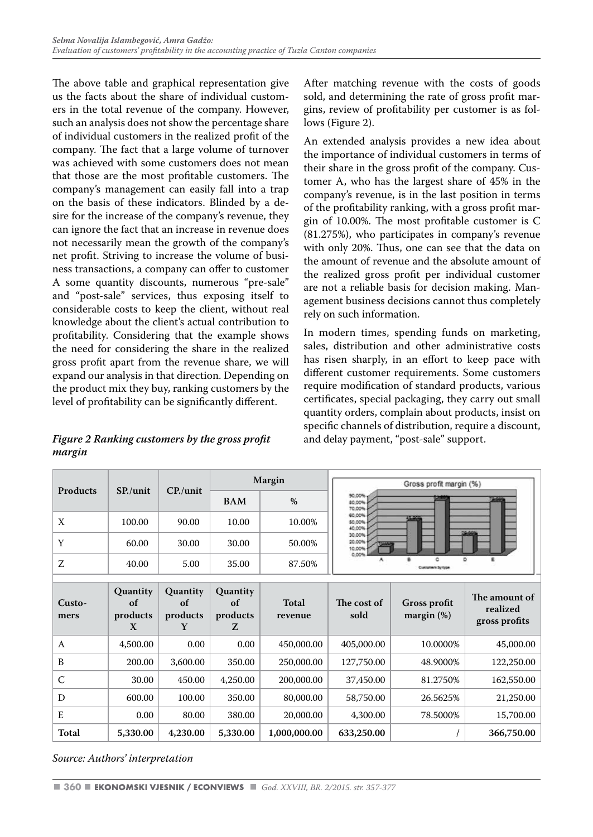The above table and graphical representation give us the facts about the share of individual customers in the total revenue of the company. However, such an analysis does not show the percentage share of individual customers in the realized profit of the company. The fact that a large volume of turnover was achieved with some customers does not mean that those are the most profitable customers. The company's management can easily fall into a trap on the basis of these indicators. Blinded by a desire for the increase of the company's revenue, they can ignore the fact that an increase in revenue does not necessarily mean the growth of the company's net profit. Striving to increase the volume of business transactions, a company can offer to customer A some quantity discounts, numerous "pre-sale" and "post-sale" services, thus exposing itself to considerable costs to keep the client, without real knowledge about the client's actual contribution to profitability. Considering that the example shows the need for considering the share in the realized gross profit apart from the revenue share, we will expand our analysis in that direction. Depending on the product mix they buy, ranking customers by the level of profitability can be significantly different.

*Figure 2 Ranking customers by the gross profit margin*

After matching revenue with the costs of goods sold, and determining the rate of gross profit margins, review of profitability per customer is as follows (Figure 2).

An extended analysis provides a new idea about the importance of individual customers in terms of their share in the gross profit of the company. Customer A, who has the largest share of 45% in the company's revenue, is in the last position in terms of the profitability ranking, with a gross profit margin of 10.00%. The most profitable customer is C (81.275%), who participates in company's revenue with only 20%. Thus, one can see that the data on the amount of revenue and the absolute amount of the realized gross profit per individual customer are not a reliable basis for decision making. Management business decisions cannot thus completely rely on such information.

In modern times, spending funds on marketing, sales, distribution and other administrative costs has risen sharply, in an effort to keep pace with different customer requirements. Some customers require modification of standard products, various certificates, special packaging, they carry out small quantity orders, complain about products, insist on specific channels of distribution, require a discount, and delay payment, "post-sale" support.

| <b>Products</b> | $SP_{\cdot}/$ unit                     | $CP$ /unit                             |                                        | Margin           |                            | Gross profit margin (%)              |                                            |  |
|-----------------|----------------------------------------|----------------------------------------|----------------------------------------|------------------|----------------------------|--------------------------------------|--------------------------------------------|--|
|                 |                                        |                                        | <b>BAM</b>                             | $\frac{0}{0}$    | 90,00%<br>80.00%<br>70.00% |                                      |                                            |  |
| X               | 100.00                                 | 90.00                                  | 10.00                                  | 10.00%           | 60.00%<br>50.00%<br>40.00% |                                      |                                            |  |
| Y               | 60.00                                  | 30.00                                  | 30.00                                  | 50.00%           | 30.00%<br>20.00%<br>10,00% |                                      |                                            |  |
| Z.              | 40.00                                  | 5.00                                   | 35.00                                  | 87.50%           | 0.00%                      |                                      |                                            |  |
|                 |                                        |                                        |                                        |                  |                            |                                      |                                            |  |
| Custo-<br>mers  | <b>Quantity</b><br>of<br>products<br>X | <b>Quantity</b><br>of<br>products<br>Y | <b>Quantity</b><br>of<br>products<br>Z | Total<br>revenue | The cost of<br>sold        | <b>Gross profit</b><br>margin $(\%)$ | The amount of<br>realized<br>gross profits |  |
| A               | 4,500.00                               | 0.00                                   | 0.00                                   | 450,000.00       | 405,000.00                 | 10.0000%                             | 45,000.00                                  |  |
| B               | 200.00                                 | 3,600.00                               | 350.00                                 | 250,000.00       | 127,750.00                 | 48.9000%                             | 122,250.00                                 |  |
| $\mathsf{C}$    | 30.00                                  | 450.00                                 | 4,250.00                               | 200,000.00       | 37,450.00                  | 81.2750%                             | 162,550.00                                 |  |
| D               | 600.00                                 | 100.00                                 | 350.00                                 | 80,000.00        | 58,750.00                  | 26.5625%                             | 21,250.00                                  |  |
| E               | 0.00                                   | 80.00                                  | 380.00                                 | 20,000.00        | 4,300.00                   | 78.5000%                             | 15,700.00                                  |  |
| Total           | 5,330.00                               | 4,230.00                               | 5,330.00                               | 1,000,000.00     | 633,250.00                 |                                      | 366,750.00                                 |  |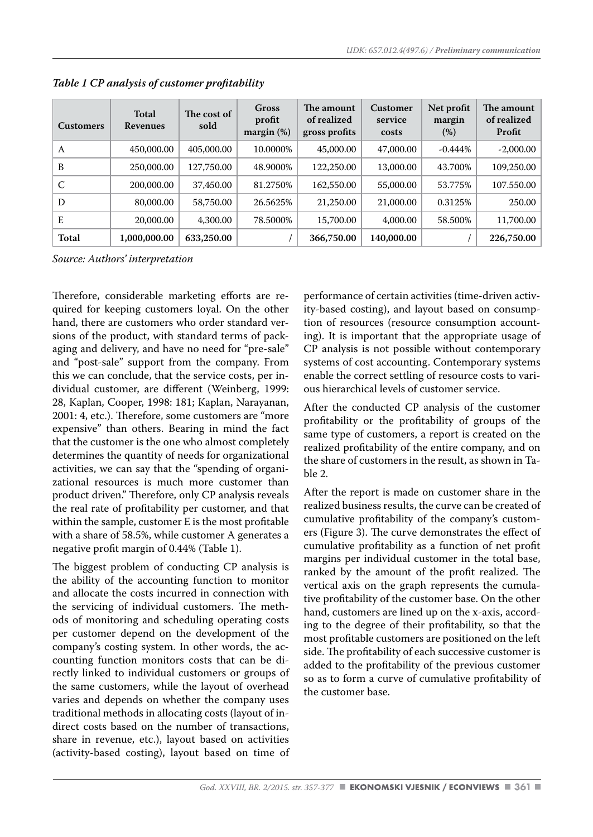| <b>Customers</b> | Total<br><b>Revenues</b> | The cost of<br>sold | Gross<br>profit<br>margin $(\%)$ | The amount<br>of realized<br>gross profits | Customer<br>service<br>costs | Net profit<br>margin<br>(%) | The amount<br>of realized<br>Profit |
|------------------|--------------------------|---------------------|----------------------------------|--------------------------------------------|------------------------------|-----------------------------|-------------------------------------|
| A                | 450,000.00               | 405,000.00          | 10.0000%                         | 45,000.00                                  | 47,000.00                    | $-0.444\%$                  | $-2,000.00$                         |
| B                | 250,000.00               | 127,750.00          | 48.9000%                         | 122,250.00                                 | 13,000.00                    | 43.700%                     | 109,250.00                          |
| C                | 200,000.00               | 37,450.00           | 81.2750%                         | 162,550.00                                 | 55,000.00                    | 53.775%                     | 107.550.00                          |
| D                | 80,000.00                | 58,750.00           | 26.5625%                         | 21,250.00                                  | 21,000.00                    | 0.3125%                     | 250.00                              |
| E                | 20,000.00                | 4,300.00            | 78.5000%                         | 15,700.00                                  | 4,000.00                     | 58.500%                     | 11,700.00                           |
| Total            | 1,000,000.00             | 633,250.00          |                                  | 366,750.00                                 | 140,000.00                   |                             | 226,750.00                          |

*Table 1 CP analysis of customer profitability*

Therefore, considerable marketing efforts are required for keeping customers loyal. On the other hand, there are customers who order standard versions of the product, with standard terms of packaging and delivery, and have no need for "pre-sale" and "post-sale" support from the company. From this we can conclude, that the service costs, per individual customer, are different (Weinberg, 1999: 28, Kaplan, Cooper, 1998: 181; Kaplan, Narayanan, 2001: 4, etc.). Therefore, some customers are "more expensive" than others. Bearing in mind the fact that the customer is the one who almost completely determines the quantity of needs for organizational activities, we can say that the "spending of organizational resources is much more customer than product driven." Therefore, only CP analysis reveals the real rate of profitability per customer, and that within the sample, customer E is the most profitable with a share of 58.5%, while customer A generates a negative profit margin of 0.44% (Table 1).

The biggest problem of conducting CP analysis is the ability of the accounting function to monitor and allocate the costs incurred in connection with the servicing of individual customers. The methods of monitoring and scheduling operating costs per customer depend on the development of the company's costing system. In other words, the accounting function monitors costs that can be directly linked to individual customers or groups of the same customers, while the layout of overhead varies and depends on whether the company uses traditional methods in allocating costs (layout of indirect costs based on the number of transactions, share in revenue, etc.), layout based on activities (activity-based costing), layout based on time of performance of certain activities (time-driven activity-based costing), and layout based on consumption of resources (resource consumption accounting). It is important that the appropriate usage of CP analysis is not possible without contemporary systems of cost accounting. Contemporary systems enable the correct settling of resource costs to various hierarchical levels of customer service.

After the conducted CP analysis of the customer profitability or the profitability of groups of the same type of customers, a report is created on the realized profitability of the entire company, and on the share of customers in the result, as shown in Table 2.

After the report is made on customer share in the realized business results, the curve can be created of cumulative profitability of the company's customers (Figure 3). The curve demonstrates the effect of cumulative profitability as a function of net profit margins per individual customer in the total base, ranked by the amount of the profit realized. The vertical axis on the graph represents the cumulative profitability of the customer base. On the other hand, customers are lined up on the x-axis, according to the degree of their profitability, so that the most profitable customers are positioned on the left side. The profitability of each successive customer is added to the profitability of the previous customer so as to form a curve of cumulative profitability of the customer base.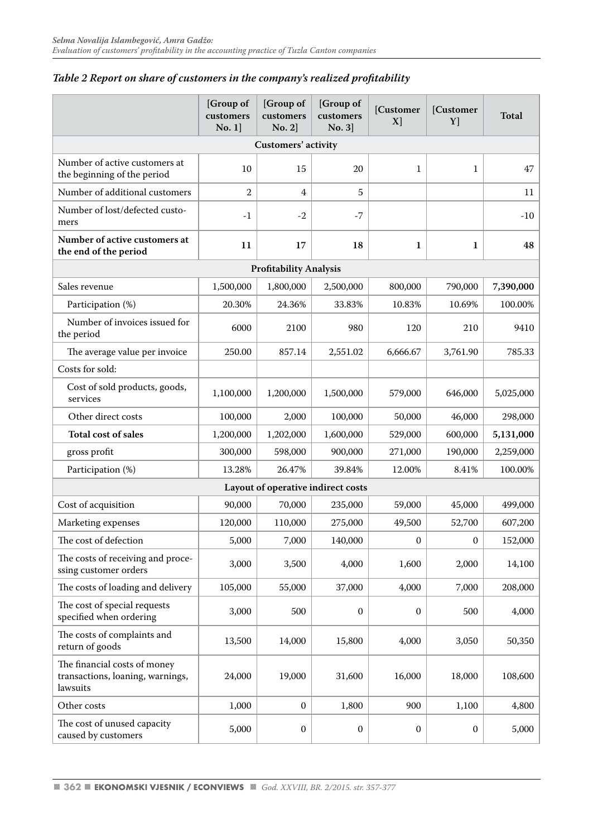|                                                                              | [Group of<br>customers<br>No. 1] | [Group of<br>customers<br>No. 2 | [Group of<br>customers<br>No. 3    | [Customer<br>X) | [Customer<br>Y] | Total     |  |  |  |  |  |  |  |  |
|------------------------------------------------------------------------------|----------------------------------|---------------------------------|------------------------------------|-----------------|-----------------|-----------|--|--|--|--|--|--|--|--|
|                                                                              |                                  | Customers' activity             |                                    |                 |                 |           |  |  |  |  |  |  |  |  |
| Number of active customers at<br>the beginning of the period                 | 10                               | 15                              | 20                                 | $\mathbf{1}$    | $\mathbf{1}$    | 47        |  |  |  |  |  |  |  |  |
| Number of additional customers                                               | 2                                | $\overline{4}$                  | 5                                  |                 |                 | 11        |  |  |  |  |  |  |  |  |
| Number of lost/defected custo-<br>mers                                       | $-1$                             | $-2$                            | $-7$                               |                 |                 | $-10$     |  |  |  |  |  |  |  |  |
| Number of active customers at<br>the end of the period                       | 11                               | 17                              | 18                                 | 1               | $\mathbf{1}$    | 48        |  |  |  |  |  |  |  |  |
| <b>Profitability Analysis</b>                                                |                                  |                                 |                                    |                 |                 |           |  |  |  |  |  |  |  |  |
| Sales revenue                                                                | 1,500,000                        | 1,800,000                       | 2,500,000                          | 800,000         | 790,000         | 7,390,000 |  |  |  |  |  |  |  |  |
| Participation (%)                                                            | 20.30%                           | 24.36%                          | 33.83%                             | 10.83%          | 10.69%          | 100.00%   |  |  |  |  |  |  |  |  |
| Number of invoices issued for<br>the period                                  | 6000                             | 2100                            | 980                                | 120             | 210             | 9410      |  |  |  |  |  |  |  |  |
| The average value per invoice                                                | 250.00                           | 857.14                          | 2,551.02                           | 6.666.67        | 3,761.90        | 785.33    |  |  |  |  |  |  |  |  |
| Costs for sold:                                                              |                                  |                                 |                                    |                 |                 |           |  |  |  |  |  |  |  |  |
| Cost of sold products, goods,<br>services                                    | 1,100,000                        | 1,200,000                       | 1,500,000                          | 579,000         | 646,000         | 5,025,000 |  |  |  |  |  |  |  |  |
| Other direct costs                                                           | 100,000                          | 2,000                           | 100,000                            | 50,000          | 46,000          | 298,000   |  |  |  |  |  |  |  |  |
| <b>Total cost of sales</b>                                                   | 1,200,000                        | 1,202,000                       | 1,600,000                          | 529,000         | 600,000         | 5,131,000 |  |  |  |  |  |  |  |  |
| gross profit                                                                 | 300,000                          | 598,000                         | 900,000                            | 271,000         | 190,000         | 2,259,000 |  |  |  |  |  |  |  |  |
| Participation (%)                                                            | 13.28%                           | 26.47%                          | 39.84%                             | 12.00%          | 8.41%           | 100.00%   |  |  |  |  |  |  |  |  |
|                                                                              |                                  |                                 | Layout of operative indirect costs |                 |                 |           |  |  |  |  |  |  |  |  |
| Cost of acquisition                                                          | 90,000                           | 70,000                          | 235,000                            | 59,000          | 45,000          | 499,000   |  |  |  |  |  |  |  |  |
| Marketing expenses                                                           | 120,000                          | 110,000                         | 275,000                            | 49,500          | 52,700          | 607,200   |  |  |  |  |  |  |  |  |
| The cost of defection                                                        | 5,000                            | 7,000                           | 140,000                            | 0               | $\mathbf{0}$    | 152,000   |  |  |  |  |  |  |  |  |
| The costs of receiving and proce-<br>ssing customer orders                   | 3,000                            | 3,500                           | 4,000                              | 1,600           | 2,000           | 14,100    |  |  |  |  |  |  |  |  |
| The costs of loading and delivery                                            | 105,000                          | 55,000                          | 37,000                             | 4,000           | 7,000           | 208,000   |  |  |  |  |  |  |  |  |
| The cost of special requests<br>specified when ordering                      | 3,000                            | 500                             | $\boldsymbol{0}$                   | 0               | 500             | 4,000     |  |  |  |  |  |  |  |  |
| The costs of complaints and<br>return of goods                               | 13,500                           | 14,000                          | 15,800                             | 4,000           | 3,050           | 50,350    |  |  |  |  |  |  |  |  |
| The financial costs of money<br>transactions, loaning, warnings,<br>lawsuits | 24,000                           | 19,000                          | 31,600                             | 16,000          | 18,000          | 108,600   |  |  |  |  |  |  |  |  |
| Other costs                                                                  | 1,000                            | $\boldsymbol{0}$                | 1,800                              | 900             | 1,100           | 4,800     |  |  |  |  |  |  |  |  |
| The cost of unused capacity<br>caused by customers                           | 5,000                            | $\boldsymbol{0}$                | 0                                  | 0               | 0               | 5,000     |  |  |  |  |  |  |  |  |

#### *Table 2 Report on share of customers in the company's realized profitability*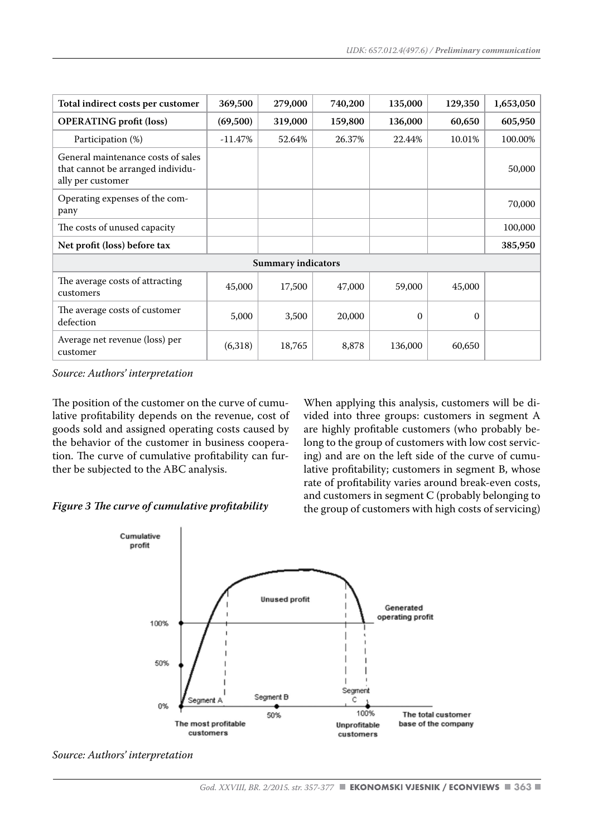| Total indirect costs per customer                                                            | 369,500   | 279,000                   | 740,200 | 135,000 | 129,350  | 1,653,050 |
|----------------------------------------------------------------------------------------------|-----------|---------------------------|---------|---------|----------|-----------|
| <b>OPERATING</b> profit (loss)                                                               | (69,500)  | 319,000                   | 159,800 | 136,000 | 60,650   | 605,950   |
| Participation (%)                                                                            | $-11.47%$ | 52.64%                    | 26.37%  | 22.44%  | 10.01%   | 100.00%   |
| General maintenance costs of sales<br>that cannot be arranged individu-<br>ally per customer |           |                           |         |         |          | 50,000    |
| Operating expenses of the com-<br>pany                                                       |           |                           |         |         |          | 70,000    |
| The costs of unused capacity                                                                 |           |                           |         |         |          | 100,000   |
| Net profit (loss) before tax                                                                 |           |                           |         |         |          | 385,950   |
|                                                                                              |           | <b>Summary indicators</b> |         |         |          |           |
| The average costs of attracting<br>customers                                                 | 45,000    | 17,500                    | 47,000  | 59,000  | 45,000   |           |
| The average costs of customer<br>defection                                                   | 5,000     | 3,500                     | 20,000  | 0       | $\Omega$ |           |
| Average net revenue (loss) per<br>customer                                                   | (6,318)   | 18,765                    | 8,878   | 136,000 | 60,650   |           |

The position of the customer on the curve of cumulative profitability depends on the revenue, cost of goods sold and assigned operating costs caused by the behavior of the customer in business cooperation. The curve of cumulative profitability can further be subjected to the ABC analysis.

#### *Figure 3 The curve of cumulative profitability*

When applying this analysis, customers will be divided into three groups: customers in segment A are highly profitable customers (who probably belong to the group of customers with low cost servicing) and are on the left side of the curve of cumulative profitability; customers in segment B, whose rate of profitability varies around break-even costs, and customers in segment C (probably belonging to the group of customers with high costs of servicing)



*Source: Authors' interpretation*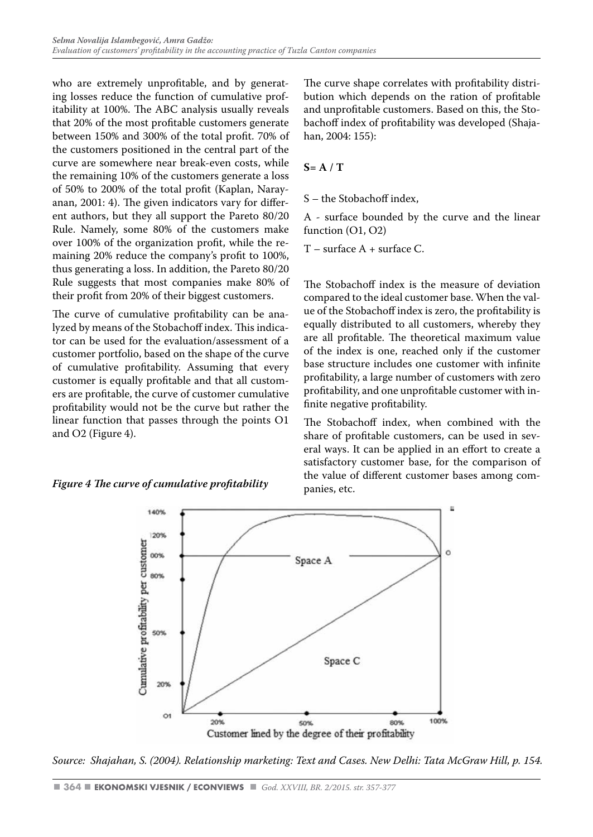who are extremely unprofitable, and by generating losses reduce the function of cumulative profitability at 100%. The ABC analysis usually reveals that 20% of the most profitable customers generate between 150% and 300% of the total profit. 70% of the customers positioned in the central part of the curve are somewhere near break-even costs, while the remaining 10% of the customers generate a loss of 50% to 200% of the total profit (Kaplan, Narayanan, 2001: 4). The given indicators vary for different authors, but they all support the Pareto 80/20 Rule. Namely, some 80% of the customers make over 100% of the organization profit, while the remaining 20% reduce the company's profit to 100%, thus generating a loss. In addition, the Pareto 80/20 Rule suggests that most companies make 80% of their profit from 20% of their biggest customers.

The curve of cumulative profitability can be analyzed by means of the Stobachoff index. This indicator can be used for the evaluation/assessment of a customer portfolio, based on the shape of the curve of cumulative profitability. Assuming that every customer is equally profitable and that all customers are profitable, the curve of customer cumulative profitability would not be the curve but rather the linear function that passes through the points O1 and O2 (Figure 4).

The curve shape correlates with profitability distribution which depends on the ration of profitable and unprofitable customers. Based on this, the Stobachoff index of profitability was developed (Shajahan, 2004: 155):

#### **S= A / T**

S – the Stobachoff index,

A - surface bounded by the curve and the linear function (O1, O2)

T – surface A + surface C.

The Stobachoff index is the measure of deviation compared to the ideal customer base. When the value of the Stobachoff index is zero, the profitability is equally distributed to all customers, whereby they are all profitable. The theoretical maximum value of the index is one, reached only if the customer base structure includes one customer with infinite profitability, a large number of customers with zero profitability, and one unprofitable customer with infinite negative profitability.

The Stobachoff index, when combined with the share of profitable customers, can be used in several ways. It can be applied in an effort to create a satisfactory customer base, for the comparison of the value of different customer bases among companies, etc.



*Source: Shajahan, S. (2004). Relationship marketing: Text and Cases. New Delhi: Tata McGraw Hill, p. 154.*

# *Figure 4 The curve of cumulative profitability*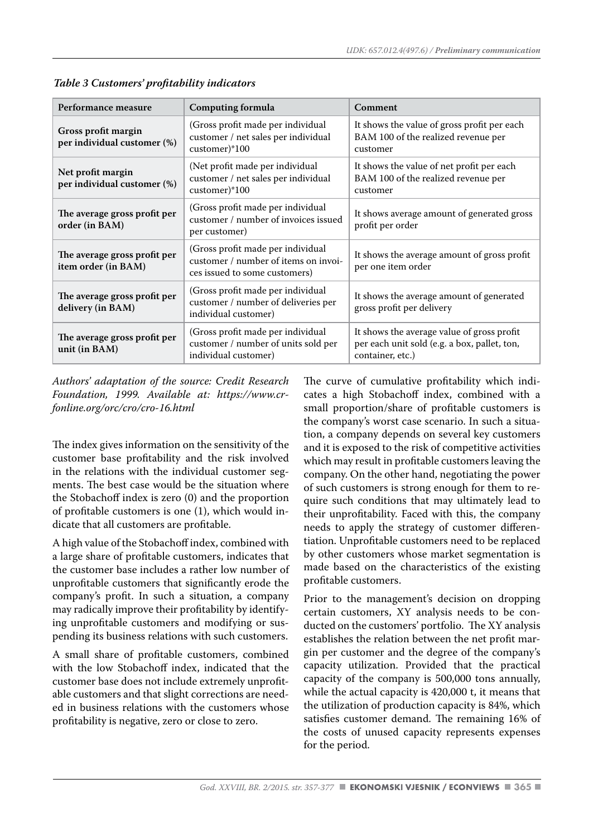| Performance measure                                 | Computing formula                                                                                          | Comment                                                                                                        |
|-----------------------------------------------------|------------------------------------------------------------------------------------------------------------|----------------------------------------------------------------------------------------------------------------|
| Gross profit margin<br>per individual customer (%)  | (Gross profit made per individual<br>customer / net sales per individual<br>customer)*100                  | It shows the value of gross profit per each<br>BAM 100 of the realized revenue per<br>customer                 |
| Net profit margin<br>per individual customer (%)    | (Net profit made per individual<br>customer / net sales per individual<br>customer)*100                    | It shows the value of net profit per each<br>BAM 100 of the realized revenue per<br>customer                   |
| The average gross profit per<br>order (in BAM)      | (Gross profit made per individual<br>customer / number of invoices issued<br>per customer)                 | It shows average amount of generated gross<br>profit per order                                                 |
| The average gross profit per<br>item order (in BAM) | (Gross profit made per individual<br>customer / number of items on invoi-<br>ces issued to some customers) | It shows the average amount of gross profit<br>per one item order                                              |
| The average gross profit per<br>delivery (in BAM)   | (Gross profit made per individual)<br>customer / number of deliveries per<br>individual customer)          | It shows the average amount of generated<br>gross profit per delivery                                          |
| The average gross profit per<br>unit (in BAM)       | (Gross profit made per individual<br>customer / number of units sold per<br>individual customer)           | It shows the average value of gross profit<br>per each unit sold (e.g. a box, pallet, ton,<br>container, etc.) |

*Table 3 Customers' profitability indicators* 

*Authors' adaptation of the source: Credit Research Foundation, 1999. Available at: https://www.crfonline.org/orc/cro/cro-16.html* 

The index gives information on the sensitivity of the customer base profitability and the risk involved in the relations with the individual customer segments. The best case would be the situation where the Stobachoff index is zero (0) and the proportion of profitable customers is one (1), which would indicate that all customers are profitable.

A high value of the Stobachoff index, combined with a large share of profitable customers, indicates that the customer base includes a rather low number of unprofitable customers that significantly erode the company's profit. In such a situation, a company may radically improve their profitability by identifying unprofitable customers and modifying or suspending its business relations with such customers.

A small share of profitable customers, combined with the low Stobachoff index, indicated that the customer base does not include extremely unprofitable customers and that slight corrections are needed in business relations with the customers whose profitability is negative, zero or close to zero.

The curve of cumulative profitability which indicates a high Stobachoff index, combined with a small proportion/share of profitable customers is the company's worst case scenario. In such a situation, a company depends on several key customers and it is exposed to the risk of competitive activities which may result in profitable customers leaving the company. On the other hand, negotiating the power of such customers is strong enough for them to require such conditions that may ultimately lead to their unprofitability. Faced with this, the company needs to apply the strategy of customer differentiation. Unprofitable customers need to be replaced by other customers whose market segmentation is made based on the characteristics of the existing profitable customers.

Prior to the management's decision on dropping certain customers, XY analysis needs to be conducted on the customers' portfolio. The XY analysis establishes the relation between the net profit margin per customer and the degree of the company's capacity utilization. Provided that the practical capacity of the company is 500,000 tons annually, while the actual capacity is 420,000 t, it means that the utilization of production capacity is 84%, which satisfies customer demand. The remaining 16% of the costs of unused capacity represents expenses for the period.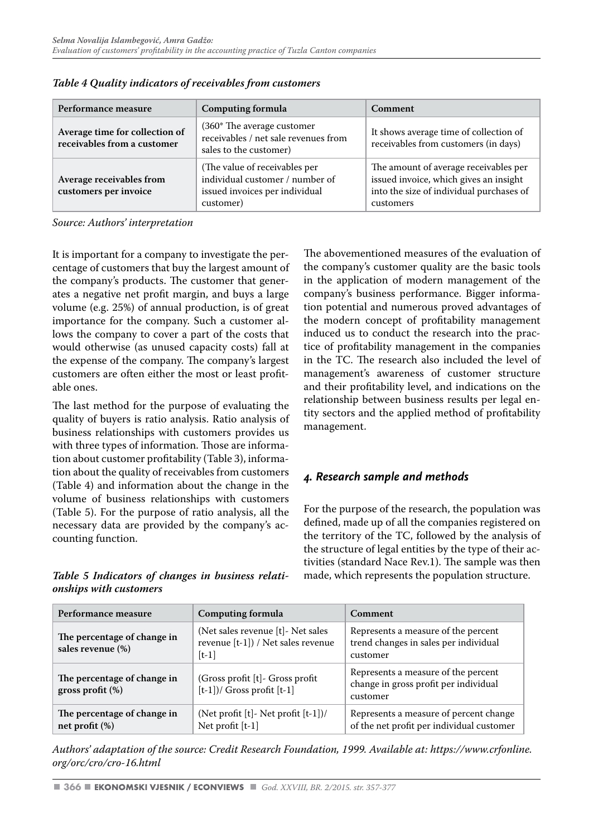| Performance measure                                           | <b>Computing formula</b>                                                                                        | <b>Comment</b>                                                                                                                           |  |  |  |  |
|---------------------------------------------------------------|-----------------------------------------------------------------------------------------------------------------|------------------------------------------------------------------------------------------------------------------------------------------|--|--|--|--|
| Average time for collection of<br>receivables from a customer | (360* The average customer<br>receivables / net sale revenues from<br>sales to the customer)                    | It shows average time of collection of<br>receivables from customers (in days)                                                           |  |  |  |  |
| Average receivables from<br>customers per invoice             | (The value of receivables per<br>individual customer / number of<br>issued invoices per individual<br>customer) | The amount of average receivables per<br>issued invoice, which gives an insight<br>into the size of individual purchases of<br>customers |  |  |  |  |

*Table 4 Quality indicators of receivables from customers*

It is important for a company to investigate the percentage of customers that buy the largest amount of the company's products. The customer that generates a negative net profit margin, and buys a large volume (e.g. 25%) of annual production, is of great importance for the company. Such a customer allows the company to cover a part of the costs that would otherwise (as unused capacity costs) fall at the expense of the company. The company's largest customers are often either the most or least profitable ones.

The last method for the purpose of evaluating the quality of buyers is ratio analysis. Ratio analysis of business relationships with customers provides us with three types of information. Those are information about customer profitability (Table 3), information about the quality of receivables from customers (Table 4) and information about the change in the volume of business relationships with customers (Table 5). For the purpose of ratio analysis, all the necessary data are provided by the company's accounting function.

*Table 5 Indicators of changes in business relationships with customers* 

The abovementioned measures of the evaluation of the company's customer quality are the basic tools in the application of modern management of the company's business performance. Bigger information potential and numerous proved advantages of the modern concept of profitability management induced us to conduct the research into the practice of profitability management in the companies in the TC. The research also included the level of management's awareness of customer structure and their profitability level, and indications on the relationship between business results per legal entity sectors and the applied method of profitability management.

# *4. Research sample and methods*

For the purpose of the research, the population was defined, made up of all the companies registered on the territory of the TC, followed by the analysis of the structure of legal entities by the type of their activities (standard Nace Rev.1). The sample was then made, which represents the population structure.

| Performance measure                                | Computing formula                                                                      | Comment                                                                                  |  |  |  |  |  |
|----------------------------------------------------|----------------------------------------------------------------------------------------|------------------------------------------------------------------------------------------|--|--|--|--|--|
| The percentage of change in<br>sales revenue (%)   | (Net sales revenue [t] - Net sales<br>revenue $[t-1]$ ) / Net sales revenue<br>$[t-1]$ | Represents a measure of the percent<br>trend changes in sales per individual<br>customer |  |  |  |  |  |
| The percentage of change in<br>gross profit $(\%)$ | (Gross profit $[t]$ - Gross profit<br>$[t-1]/$ Gross profit $[t-1]$                    | Represents a measure of the percent<br>change in gross profit per individual<br>customer |  |  |  |  |  |
| The percentage of change in<br>net profit $(\%)$   | (Net profit $[t]$ - Net profit $[t-1]/($<br>Net profit [t-1]                           | Represents a measure of percent change<br>of the net profit per individual customer      |  |  |  |  |  |

*Authors' adaptation of the source: Credit Research Foundation, 1999. Available at: https://www.crfonline. org/orc/cro/cro-16.html*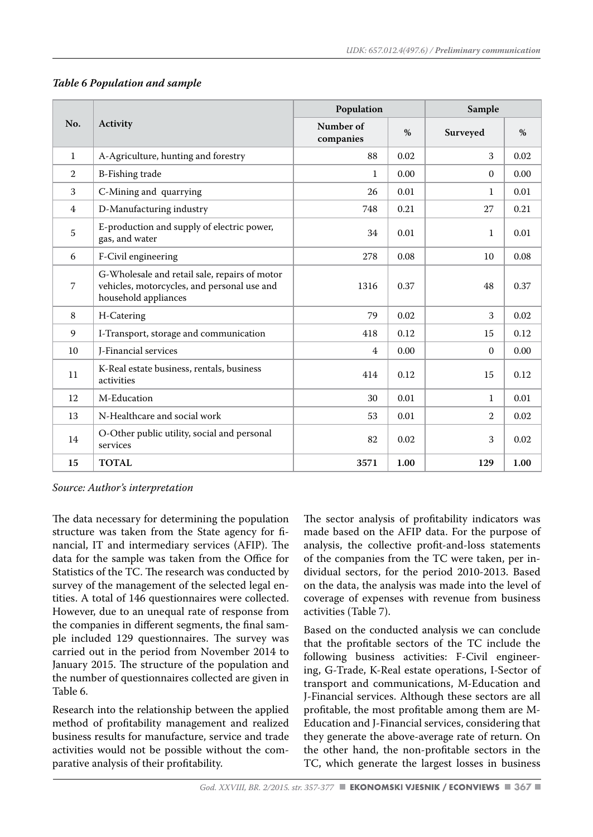|                |                                                                                                                      | Population             |      | Sample         |      |  |  |
|----------------|----------------------------------------------------------------------------------------------------------------------|------------------------|------|----------------|------|--|--|
| No.            | Activity                                                                                                             | Number of<br>companies | $\%$ | Surveyed       | $\%$ |  |  |
| $\mathbf{1}$   | A-Agriculture, hunting and forestry                                                                                  | 88                     | 0.02 | 3              | 0.02 |  |  |
| $\mathbf{2}$   | <b>B-Fishing trade</b>                                                                                               | 1                      | 0.00 | $\Omega$       | 0.00 |  |  |
| 3              | C-Mining and quarrying                                                                                               | 26                     | 0.01 | $\mathbf{1}$   | 0.01 |  |  |
| $\overline{4}$ | D-Manufacturing industry                                                                                             | 748                    | 0.21 | 27             | 0.21 |  |  |
| 5              | E-production and supply of electric power,<br>gas, and water                                                         | 34                     | 0.01 | $\mathbf{1}$   | 0.01 |  |  |
| 6              | F-Civil engineering                                                                                                  | 278                    | 0.08 | 10             | 0.08 |  |  |
| 7              | G-Wholesale and retail sale, repairs of motor<br>vehicles, motorcycles, and personal use and<br>household appliances | 1316                   | 0.37 | 48             | 0.37 |  |  |
| 8              | H-Catering                                                                                                           | 79                     | 0.02 | 3              | 0.02 |  |  |
| 9              | I-Transport, storage and communication                                                                               | 418                    | 0.12 | 15             | 0.12 |  |  |
| 10             | J-Financial services                                                                                                 | 4                      | 0.00 | $\Omega$       | 0.00 |  |  |
| 11             | K-Real estate business, rentals, business<br>activities                                                              | 414                    | 0.12 | 15             | 0.12 |  |  |
| 12             | M-Education                                                                                                          | 30                     | 0.01 | 1              | 0.01 |  |  |
| 13             | N-Healthcare and social work                                                                                         | 53                     | 0.01 | $\overline{2}$ | 0.02 |  |  |
| 14             | O-Other public utility, social and personal<br>services                                                              | 82                     | 0.02 | 3              | 0.02 |  |  |
| 15             | <b>TOTAL</b>                                                                                                         | 3571                   | 1.00 | 129            | 1.00 |  |  |

#### *Table 6 Population and sample*

*Source: Author's interpretation* 

The data necessary for determining the population structure was taken from the State agency for financial, IT and intermediary services (AFIP). The data for the sample was taken from the Office for Statistics of the TC. The research was conducted by survey of the management of the selected legal entities. A total of 146 questionnaires were collected. However, due to an unequal rate of response from the companies in different segments, the final sample included 129 questionnaires. The survey was carried out in the period from November 2014 to January 2015. The structure of the population and the number of questionnaires collected are given in Table 6.

Research into the relationship between the applied method of profitability management and realized business results for manufacture, service and trade activities would not be possible without the comparative analysis of their profitability.

The sector analysis of profitability indicators was made based on the AFIP data. For the purpose of analysis, the collective profit-and-loss statements of the companies from the TC were taken, per individual sectors, for the period 2010-2013. Based on the data, the analysis was made into the level of coverage of expenses with revenue from business activities (Table 7).

Based on the conducted analysis we can conclude that the profitable sectors of the TC include the following business activities: F-Civil engineering, G-Trade, K-Real estate operations, I-Sector of transport and communications, M-Education and J-Financial services. Although these sectors are all profitable, the most profitable among them are M-Education and J-Financial services, considering that they generate the above-average rate of return. On the other hand, the non-profitable sectors in the TC, which generate the largest losses in business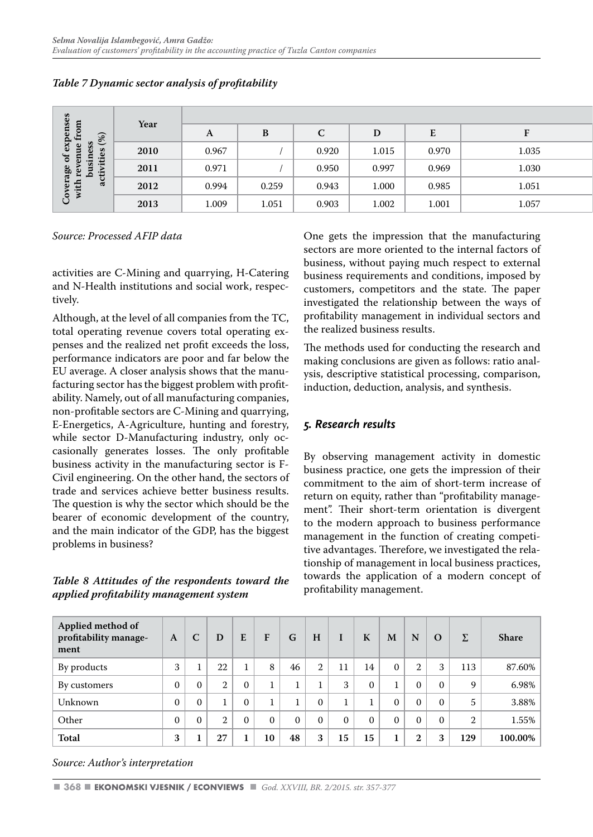| v.<br>Ξ.<br>ess $(s(%)$                                   | Year |              |       |       |       |                                      |       |
|-----------------------------------------------------------|------|--------------|-------|-------|-------|--------------------------------------|-------|
|                                                           |      | $\mathbf{L}$ | D     |       | D     | $\overline{\phantom{0}}$<br><b>L</b> |       |
| exper<br>ue fro<br>$\omega$                               | 2010 | 0.967        |       | 0.920 | 1.015 | 0.970                                | 1.035 |
| age of<br>revenu<br>busine<br>tivities<br>$5\overline{5}$ | 2011 | 0.971        |       | 0.950 | 0.997 | 0.969                                | 1.030 |
| ट<br>इं‡<br>ಡ                                             | 2012 | 0.994        | 0.259 | 0.943 | 1.000 | 0.985                                | 1.051 |
| $5^{\circ}$<br>╰                                          | 2013 | 1.009        | 1.051 | 0.903 | 1.002 | 1.001                                | 1.057 |

#### *Table 7 Dynamic sector analysis of profitability*

*Source: Processed AFIP data* 

activities are C-Mining and quarrying, H-Catering and N-Health institutions and social work, respectively.

Although, at the level of all companies from the TC, total operating revenue covers total operating expenses and the realized net profit exceeds the loss, performance indicators are poor and far below the EU average. A closer analysis shows that the manufacturing sector has the biggest problem with profitability. Namely, out of all manufacturing companies, non-profitable sectors are C-Mining and quarrying, E-Energetics, A-Agriculture, hunting and forestry, while sector D-Manufacturing industry, only occasionally generates losses. The only profitable business activity in the manufacturing sector is F-Civil engineering. On the other hand, the sectors of trade and services achieve better business results. The question is why the sector which should be the bearer of economic development of the country, and the main indicator of the GDP, has the biggest problems in business?

*Table 8 Attitudes of the respondents toward the applied profitability management system* 

One gets the impression that the manufacturing sectors are more oriented to the internal factors of business, without paying much respect to external business requirements and conditions, imposed by customers, competitors and the state. The paper investigated the relationship between the ways of profitability management in individual sectors and the realized business results.

The methods used for conducting the research and making conclusions are given as follows: ratio analysis, descriptive statistical processing, comparison, induction, deduction, analysis, and synthesis.

# *5. Research results*

By observing management activity in domestic business practice, one gets the impression of their commitment to the aim of short-term increase of return on equity, rather than "profitability management". Their short-term orientation is divergent to the modern approach to business performance management in the function of creating competitive advantages. Therefore, we investigated the relationship of management in local business practices, towards the application of a modern concept of profitability management.

| Applied method of<br>profitability manage-<br>ment | A        | C            | D              | E        | F        | G        | H            | I        | K        | M        | N            | $\Omega$ | Σ              | <b>Share</b> |
|----------------------------------------------------|----------|--------------|----------------|----------|----------|----------|--------------|----------|----------|----------|--------------|----------|----------------|--------------|
| By products                                        | 3        |              | 22             |          | 8        | 46       | $\mathbf{2}$ | 11       | 14       | $\Omega$ | 2            | 3        | 113            | 87.60%       |
| By customers                                       | $\Omega$ | $\mathbf{0}$ | $\overline{2}$ | $\Omega$ |          |          |              | 3        | $\Omega$ |          | $\Omega$     | $\Omega$ | 9              | 6.98%        |
| Unknown                                            | $\Omega$ | $\Omega$     |                | $\Omega$ |          |          | $\Omega$     |          |          | $\Omega$ | $\Omega$     | $\Omega$ | 5              | 3.88%        |
| Other                                              | $\Omega$ | $\Omega$     | $\overline{2}$ | $\Omega$ | $\Omega$ | $\Omega$ | $\Omega$     | $\Omega$ | $\Omega$ | $\Omega$ | $\Omega$     | $\theta$ | $\overline{2}$ | $1.55\%$     |
| Total                                              | 3        |              | 27             |          | 10       | 48       | 3            | 15       | 15       | п        | $\mathbf{2}$ | 3        | 129            | 100.00%      |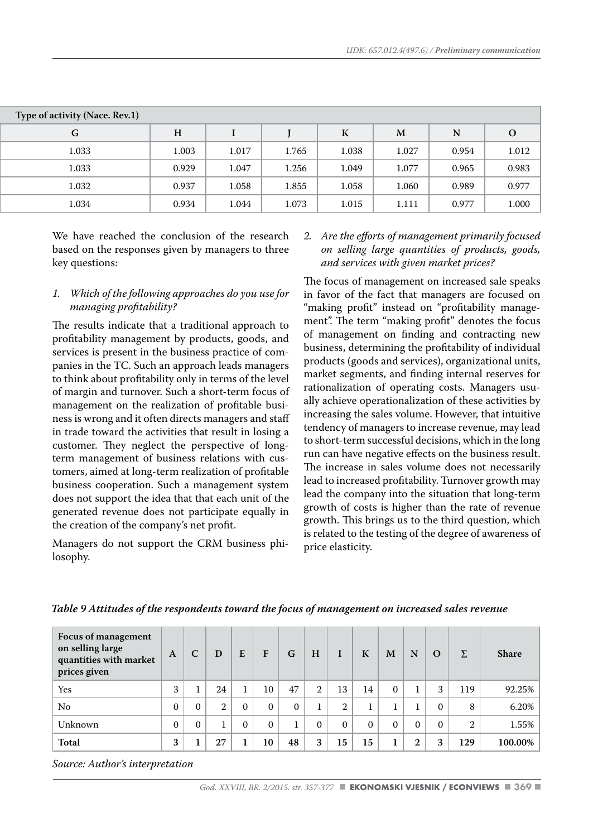| Type of activity (Nace. Rev.1) |       |       |       |        |              |           |          |
|--------------------------------|-------|-------|-------|--------|--------------|-----------|----------|
| G                              | H     |       |       | T<br>л | $\mathbf{M}$ | ${\bf N}$ | $\Omega$ |
| 1.033                          | 1.003 | 1.017 | 1.765 | 1.038  | 1.027        | 0.954     | 1.012    |
| 1.033                          | 0.929 | 1.047 | 1.256 | 1.049  | 1.077        | 0.965     | 0.983    |
| 1.032                          | 0.937 | 1.058 | 1.855 | 1.058  | 1.060        | 0.989     | 0.977    |
| 1.034                          | 0.934 | 1.044 | 1.073 | 1.015  | 1.111        | 0.977     | 1.000    |

We have reached the conclusion of the research based on the responses given by managers to three key questions:

#### *1. Which of the following approaches do you use for managing profitability?*

The results indicate that a traditional approach to profitability management by products, goods, and services is present in the business practice of companies in the TC. Such an approach leads managers to think about profitability only in terms of the level of margin and turnover. Such a short-term focus of management on the realization of profitable business is wrong and it often directs managers and staff in trade toward the activities that result in losing a customer. They neglect the perspective of longterm management of business relations with customers, aimed at long-term realization of profitable business cooperation. Such a management system does not support the idea that that each unit of the generated revenue does not participate equally in the creation of the company's net profit.

Managers do not support the CRM business philosophy.

#### *2. Are the efforts of management primarily focused on selling large quantities of products, goods, and services with given market prices?*

The focus of management on increased sale speaks in favor of the fact that managers are focused on "making profit" instead on "profitability management". The term "making profit" denotes the focus of management on finding and contracting new business, determining the profitability of individual products (goods and services), organizational units, market segments, and finding internal reserves for rationalization of operating costs. Managers usually achieve operationalization of these activities by increasing the sales volume. However, that intuitive tendency of managers to increase revenue, may lead to short-term successful decisions, which in the long run can have negative effects on the business result. The increase in sales volume does not necessarily lead to increased profitability. Turnover growth may lead the company into the situation that long-term growth of costs is higher than the rate of revenue growth. This brings us to the third question, which is related to the testing of the degree of awareness of price elasticity.

| Focus of management<br>on selling large<br>quantities with market<br>prices given | $\mathbf{A}$ | C        | D  | E        | F        | G        | H            | I        | K        | M        | N            | $\Omega$ | Σ              | <b>Share</b> |
|-----------------------------------------------------------------------------------|--------------|----------|----|----------|----------|----------|--------------|----------|----------|----------|--------------|----------|----------------|--------------|
| Yes                                                                               | 3            |          | 24 |          | 10       | 47       | $\mathbf{2}$ | 13       | 14       | $\Omega$ |              | 3        | 119            | 92.25%       |
| No                                                                                | $\Omega$     | $\Omega$ | 2  | $\Omega$ | $\Omega$ | $\Omega$ |              | 2        |          |          |              | $\Omega$ | 8              | 6.20%        |
| Unknown                                                                           | $\mathbf{0}$ | $\Omega$ | 1  | $\Omega$ | $\Omega$ |          | $\Omega$     | $\Omega$ | $\Omega$ | $\Omega$ | $\Omega$     | $\Omega$ | $\overline{2}$ | 1.55%        |
| Total                                                                             | 3            |          | 27 |          | 10       | 48       | 3            | 15       | 15       | 1        | $\mathbf{2}$ | 3        | 129            | 100.00%      |

*Table 9 Attitudes of the respondents toward the focus of management on increased sales revenue*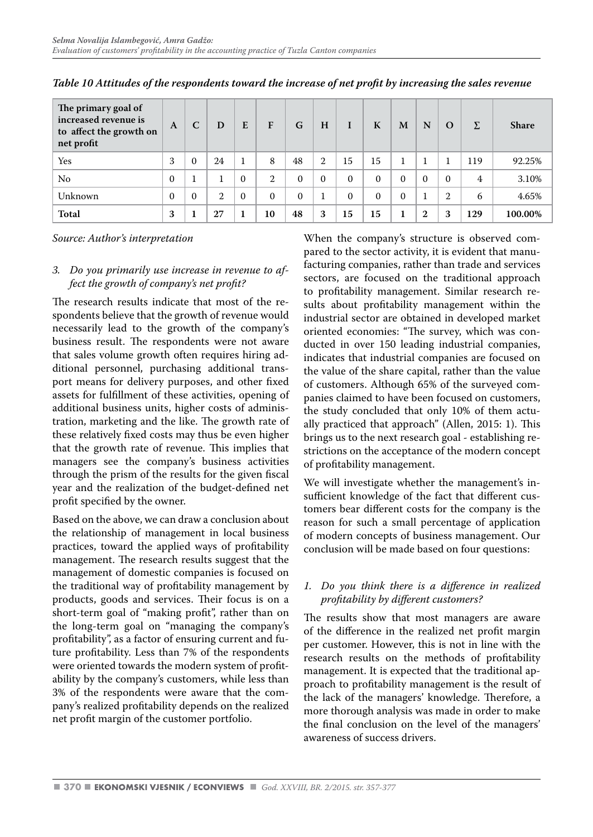| The primary goal of<br>increased revenue is<br>to affect the growth on<br>net profit | A        | C        | D            | E        | F              | G        | H              | I        | K            | M        | N            | $\Omega$     | Σ   | <b>Share</b> |
|--------------------------------------------------------------------------------------|----------|----------|--------------|----------|----------------|----------|----------------|----------|--------------|----------|--------------|--------------|-----|--------------|
| Yes                                                                                  | 3        | $\Omega$ | 24           | 1        | 8              | 48       | $\overline{2}$ | 15       | 15           |          |              |              | 119 | 92.25%       |
| No.                                                                                  | 0        |          |              | $\Omega$ | $\overline{2}$ | $\Omega$ | $\theta$       | $\theta$ | $\Omega$     | $\Omega$ | $\Omega$     | $\Omega$     | 4   | 3.10%        |
| Unknown                                                                              | $\Omega$ | $\Omega$ | $\mathbf{2}$ | $\Omega$ | $\Omega$       | $\Omega$ |                | $\theta$ | $\mathbf{0}$ | $\Omega$ |              | $\mathbf{2}$ | 6   | 4.65%        |
| Total                                                                                | 3        |          | 27           | 1        | 10             | 48       | 3              | 15       | 15           | 1        | $\mathbf{2}$ | 3            | 129 | 100.00%      |

*Table 10 Attitudes of the respondents toward the increase of net profit by increasing the sales revenue*

#### *3. Do you primarily use increase in revenue to affect the growth of company's net profit?*

The research results indicate that most of the respondents believe that the growth of revenue would necessarily lead to the growth of the company's business result. The respondents were not aware that sales volume growth often requires hiring additional personnel, purchasing additional transport means for delivery purposes, and other fixed assets for fulfillment of these activities, opening of additional business units, higher costs of administration, marketing and the like. The growth rate of these relatively fixed costs may thus be even higher that the growth rate of revenue. This implies that managers see the company's business activities through the prism of the results for the given fiscal year and the realization of the budget-defined net profit specified by the owner.

Based on the above, we can draw a conclusion about the relationship of management in local business practices, toward the applied ways of profitability management. The research results suggest that the management of domestic companies is focused on the traditional way of profitability management by products, goods and services. Their focus is on a short-term goal of "making profit", rather than on the long-term goal on "managing the company's profitability", as a factor of ensuring current and future profitability. Less than 7% of the respondents were oriented towards the modern system of profitability by the company's customers, while less than 3% of the respondents were aware that the company's realized profitability depends on the realized net profit margin of the customer portfolio.

When the company's structure is observed compared to the sector activity, it is evident that manufacturing companies, rather than trade and services sectors, are focused on the traditional approach to profitability management. Similar research results about profitability management within the industrial sector are obtained in developed market oriented economies: "The survey, which was conducted in over 150 leading industrial companies, indicates that industrial companies are focused on the value of the share capital, rather than the value of customers. Although 65% of the surveyed companies claimed to have been focused on customers, the study concluded that only 10% of them actually practiced that approach" (Allen, 2015: 1). This brings us to the next research goal - establishing restrictions on the acceptance of the modern concept of profitability management.

We will investigate whether the management's insufficient knowledge of the fact that different customers bear different costs for the company is the reason for such a small percentage of application of modern concepts of business management. Our conclusion will be made based on four questions:

#### *1. Do you think there is a difference in realized profitability by different customers?*

The results show that most managers are aware of the difference in the realized net profit margin per customer. However, this is not in line with the research results on the methods of profitability management. It is expected that the traditional approach to profitability management is the result of the lack of the managers' knowledge. Therefore, a more thorough analysis was made in order to make the final conclusion on the level of the managers' awareness of success drivers.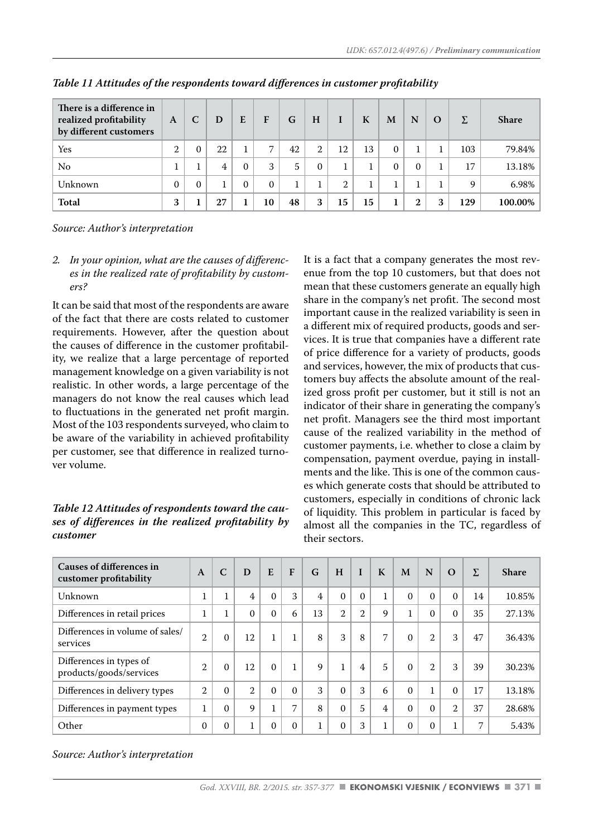| There is a difference in<br>realized profitability<br>by different customers | A            | C            | D              | E        | F              | G  | H        |    | K  | M        | N            | $\Omega$ | Σ   | <b>Share</b> |
|------------------------------------------------------------------------------|--------------|--------------|----------------|----------|----------------|----|----------|----|----|----------|--------------|----------|-----|--------------|
| Yes                                                                          | $\mathbf{2}$ | $\mathbf{0}$ | 22             |          | $\overline{ }$ | 42 | 2        | 12 | 13 | $\Omega$ |              |          | 103 | 79.84%       |
| No                                                                           |              |              | $\overline{4}$ | $\Omega$ | 3              | 5  | $\Omega$ |    |    | $\Omega$ | $\Omega$     |          | 17  | 13.18%       |
| Unknown                                                                      | $\Omega$     | $\Omega$     | 1              | $\Omega$ | $\Omega$       |    |          | 2  |    |          |              |          | 9   | $6.98\%$     |
| Total                                                                        | 3            |              | 27             |          | 10             | 48 | 3        | 15 | 15 |          | $\mathbf{2}$ | 3        | 129 | 100.00%      |

*Table 11 Attitudes of the respondents toward differences in customer profitability*

*2. In your opinion, what are the causes of differences in the realized rate of profitability by customers?*

It can be said that most of the respondents are aware of the fact that there are costs related to customer requirements. However, after the question about the causes of difference in the customer profitability, we realize that a large percentage of reported management knowledge on a given variability is not realistic. In other words, a large percentage of the managers do not know the real causes which lead to fluctuations in the generated net profit margin. Most of the 103 respondents surveyed, who claim to be aware of the variability in achieved profitability per customer, see that difference in realized turnover volume.

#### *Table 12 Attitudes of respondents toward the causes of differences in the realized profitability by customer*

It is a fact that a company generates the most revenue from the top 10 customers, but that does not mean that these customers generate an equally high share in the company's net profit. The second most important cause in the realized variability is seen in a different mix of required products, goods and services. It is true that companies have a different rate of price difference for a variety of products, goods and services, however, the mix of products that customers buy affects the absolute amount of the realized gross profit per customer, but it still is not an indicator of their share in generating the company's net profit. Managers see the third most important cause of the realized variability in the method of customer payments, i.e. whether to close a claim by compensation, payment overdue, paying in installments and the like. This is one of the common causes which generate costs that should be attributed to customers, especially in conditions of chronic lack of liquidity. This problem in particular is faced by almost all the companies in the TC, regardless of their sectors.

| Causes of differences in<br>customer profitability | $\mathbf{A}$   | $\mathsf{C}$ | D              | E        | $\mathbf{F}$ | G  | H              | $\mathbf{I}$   | $\mathbf K$    | M        | N              | $\Omega$     | Σ  | <b>Share</b> |
|----------------------------------------------------|----------------|--------------|----------------|----------|--------------|----|----------------|----------------|----------------|----------|----------------|--------------|----|--------------|
| Unknown                                            | 1              | $\mathbf{1}$ | 4              | $\Omega$ | 3            | 4  | $\Omega$       | $\Omega$       | 1              | $\Omega$ | $\Omega$       | $\Omega$     | 14 | 10.85%       |
| Differences in retail prices                       | 1              | 1            | $\Omega$       | $\Omega$ | 6            | 13 | $\overline{2}$ | $\overline{2}$ | 9              |          | $\Omega$       | $\Omega$     | 35 | 27.13%       |
| Differences in volume of sales/<br>services        | $\mathbf{2}$   | $\Omega$     | 12             |          | 1.           | 8  | 3              | 8              | 7              | $\Omega$ | $\overline{2}$ | 3            | 47 | 36.43%       |
| Differences in types of<br>products/goods/services | $\overline{2}$ | $\Omega$     | 12             | $\Omega$ |              | 9  | 1              | $\overline{4}$ | 5              | $\Omega$ | $\overline{2}$ | 3            | 39 | 30.23%       |
| Differences in delivery types                      | $\overline{2}$ | $\Omega$     | $\overline{2}$ | $\Omega$ | $\Omega$     | 3  | $\Omega$       | 3              | 6              | $\Omega$ | 1              | $\Omega$     | 17 | 13.18%       |
| Differences in payment types                       | 1              | $\Omega$     | 9              |          | 7            | 8  | $\Omega$       | 5              | $\overline{4}$ | $\Omega$ | $\Omega$       | $\mathbf{2}$ | 37 | 28.68%       |
| Other                                              | $\Omega$       | $\Omega$     | 1              | $\Omega$ | $\theta$     |    | $\Omega$       | 3              |                | $\Omega$ | $\Omega$       |              | 7  | 5.43%        |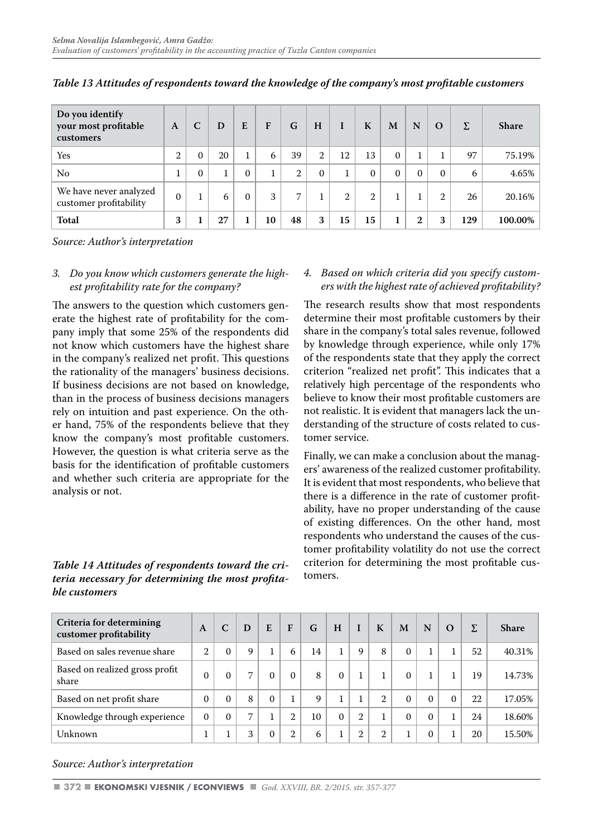| Do you identify<br>your most profitable<br>customers | $\mathbf{A}$ | $\mathbf C$ | D  | E        | F  | G              | H            | I  | K        | M        | N            | $\Omega$ | Σ   | <b>Share</b> |
|------------------------------------------------------|--------------|-------------|----|----------|----|----------------|--------------|----|----------|----------|--------------|----------|-----|--------------|
| Yes                                                  | $\mathbf{2}$ | $\Omega$    | 20 | 1        | 6  | 39             | $\mathbf{2}$ | 12 | 13       | $\Omega$ |              |          | 97  | 75.19%       |
| No                                                   |              | $\Omega$    |    | $\Omega$ | 1  | 2              | $\Omega$     |    | $\Omega$ | $\Omega$ | $\Omega$     | $\Omega$ | 6   | 4.65%        |
| We have never analyzed<br>customer profitability     | $\Omega$     |             | 6  | $\Omega$ | 3  | $\overline{7}$ |              | 2  | 2        |          |              | 2        | 26  | 20.16%       |
| Total                                                | 3            |             | 27 |          | 10 | 48             | 3            | 15 | 15       |          | $\mathbf{2}$ | 3        | 129 | 100.00%      |

*Table 13 Attitudes of respondents toward the knowledge of the company's most profitable customers*

#### *3. Do you know which customers generate the highest profitability rate for the company?*

The answers to the question which customers generate the highest rate of profitability for the company imply that some 25% of the respondents did not know which customers have the highest share in the company's realized net profit. This questions the rationality of the managers' business decisions. If business decisions are not based on knowledge, than in the process of business decisions managers rely on intuition and past experience. On the other hand, 75% of the respondents believe that they know the company's most profitable customers. However, the question is what criteria serve as the basis for the identification of profitable customers and whether such criteria are appropriate for the analysis or not.

#### *Table 14 Attitudes of respondents toward the criteria necessary for determining the most profitable customers*

#### *4. Based on which criteria did you specify customers with the highest rate of achieved profitability?*

The research results show that most respondents determine their most profitable customers by their share in the company's total sales revenue, followed by knowledge through experience, while only 17% of the respondents state that they apply the correct criterion "realized net profit". This indicates that a relatively high percentage of the respondents who believe to know their most profitable customers are not realistic. It is evident that managers lack the understanding of the structure of costs related to customer service.

Finally, we can make a conclusion about the managers' awareness of the realized customer profitability. It is evident that most respondents, who believe that there is a difference in the rate of customer profitability, have no proper understanding of the cause of existing differences. On the other hand, most respondents who understand the causes of the customer profitability volatility do not use the correct criterion for determining the most profitable customers.

| Criteria for determining<br>customer profitability | A              | C        | D | E        | F              | G  | H        |                | K | M        | N        | $\Omega$ | Σ  | <b>Share</b> |
|----------------------------------------------------|----------------|----------|---|----------|----------------|----|----------|----------------|---|----------|----------|----------|----|--------------|
| Based on sales revenue share                       | $\mathfrak{D}$ | $\Omega$ | 9 |          | 6              | 14 |          | 9              | 8 | $\Omega$ |          |          | 52 | 40.31%       |
| Based on realized gross profit<br>share            | 0              | $\Omega$ | 7 |          | $\Omega$       | 8  | $\Omega$ | 1              |   | $\Omega$ |          |          | 19 | 14.73%       |
| Based on net profit share                          | $\Omega$       | $\Omega$ | 8 | $\Omega$ |                | 9  |          |                | 2 | $\Omega$ | $\Omega$ | $\Omega$ | 22 | 17.05%       |
| Knowledge through experience                       | $\Omega$       | $\Omega$ | 7 |          | $\mathfrak{D}$ | 10 | $\Omega$ | $\overline{2}$ |   | $\Omega$ | $\Omega$ |          | 24 | 18.60%       |
| Unknown                                            |                |          | 3 | $\Omega$ | $\overline{2}$ | 6  |          | 2              | 2 |          | $\Omega$ |          | 20 | 15.50%       |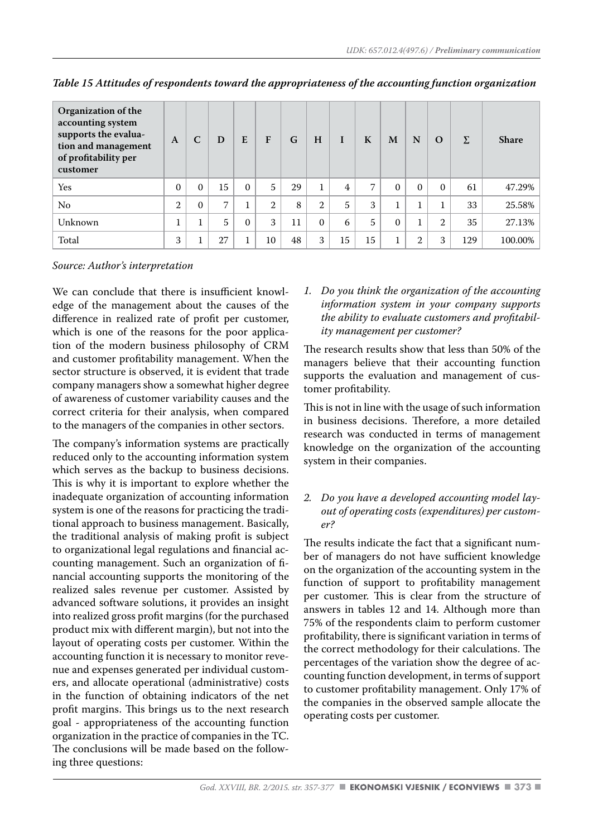| Organization of the<br>accounting system<br>supports the evalua-<br>tion and management<br>of profitability per<br>customer | A              | C            | D  | E        | F  | G  | H            | I  | K  | M        | N              | $\Omega$     | Σ   | <b>Share</b> |
|-----------------------------------------------------------------------------------------------------------------------------|----------------|--------------|----|----------|----|----|--------------|----|----|----------|----------------|--------------|-----|--------------|
| Yes                                                                                                                         | $\Omega$       | $\Omega$     | 15 | $\Omega$ | 5  | 29 |              | 4  | 7  | $\Omega$ | $\Omega$       | $\Omega$     | 61  | 47.29%       |
| No                                                                                                                          | $\overline{2}$ | $\mathbf{0}$ | 7  |          | 2  | 8  | $\mathbf{2}$ | 5  | 3  |          | 1<br>ı         | $\mathbf{1}$ | 33  | 25.58%       |
| Unknown                                                                                                                     |                |              | 5  | $\Omega$ | 3  | 11 | $\Omega$     | 6  | 5  | $\Omega$ | 1<br>Ŧ.        | 2            | 35  | 27.13%       |
| Total                                                                                                                       | 3              |              | 27 |          | 10 | 48 | 3            | 15 | 15 |          | $\overline{2}$ | 3            | 129 | 100.00%      |

*Table 15 Attitudes of respondents toward the appropriateness of the accounting function organization*

We can conclude that there is insufficient knowledge of the management about the causes of the difference in realized rate of profit per customer, which is one of the reasons for the poor application of the modern business philosophy of CRM and customer profitability management. When the sector structure is observed, it is evident that trade company managers show a somewhat higher degree of awareness of customer variability causes and the correct criteria for their analysis, when compared to the managers of the companies in other sectors.

The company's information systems are practically reduced only to the accounting information system which serves as the backup to business decisions. This is why it is important to explore whether the inadequate organization of accounting information system is one of the reasons for practicing the traditional approach to business management. Basically, the traditional analysis of making profit is subject to organizational legal regulations and financial accounting management. Such an organization of financial accounting supports the monitoring of the realized sales revenue per customer. Assisted by advanced software solutions, it provides an insight into realized gross profit margins (for the purchased product mix with different margin), but not into the layout of operating costs per customer. Within the accounting function it is necessary to monitor revenue and expenses generated per individual customers, and allocate operational (administrative) costs in the function of obtaining indicators of the net profit margins. This brings us to the next research goal - appropriateness of the accounting function organization in the practice of companies in the TC. The conclusions will be made based on the following three questions:

*1. Do you think the organization of the accounting information system in your company supports the ability to evaluate customers and profitability management per customer?*

The research results show that less than 50% of the managers believe that their accounting function supports the evaluation and management of customer profitability.

This is not in line with the usage of such information in business decisions. Therefore, a more detailed research was conducted in terms of management knowledge on the organization of the accounting system in their companies.

*2. Do you have a developed accounting model layout of operating costs (expenditures) per customer?*

The results indicate the fact that a significant number of managers do not have sufficient knowledge on the organization of the accounting system in the function of support to profitability management per customer. This is clear from the structure of answers in tables 12 and 14. Although more than 75% of the respondents claim to perform customer profitability, there is significant variation in terms of the correct methodology for their calculations. The percentages of the variation show the degree of accounting function development, in terms of support to customer profitability management. Only 17% of the companies in the observed sample allocate the operating costs per customer.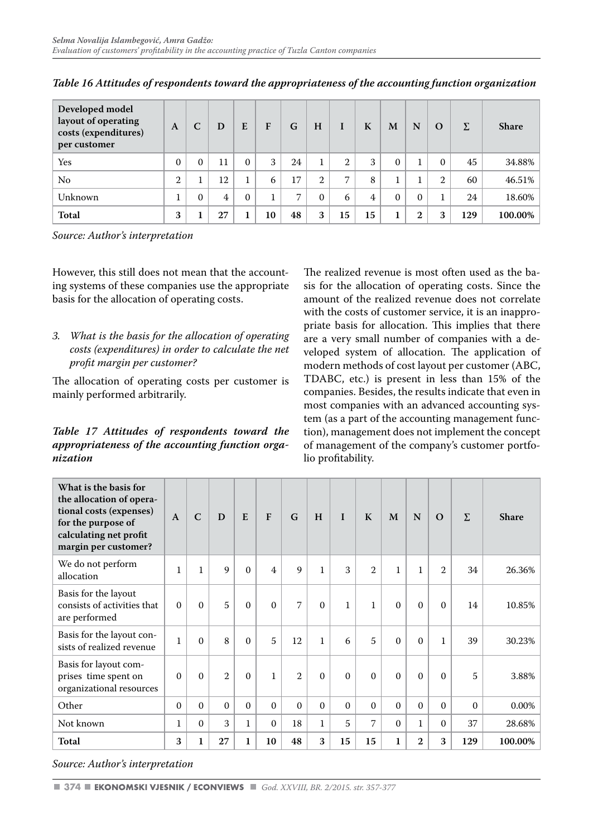| Developed model<br>layout of operating<br>costs (expenditures)<br>per customer | $\mathbf{A}$   | C        | D              | E        | F  | G  | H        |    | K  | M        | N            | $\Omega$ | Σ   | <b>Share</b> |
|--------------------------------------------------------------------------------|----------------|----------|----------------|----------|----|----|----------|----|----|----------|--------------|----------|-----|--------------|
| Yes                                                                            | $\Omega$       | $\Omega$ | 11             | $\Omega$ | 3  | 24 |          | 2  | 3  | $\Omega$ |              | $\Omega$ | 45  | 34.88%       |
| No.                                                                            | $\overline{2}$ |          | 12             |          | 6  | 17 | റ        | 7  | 8  |          |              | 2        | 60  | 46.51%       |
| Unknown                                                                        |                | $\Omega$ | $\overline{4}$ | $\Omega$ |    | 7  | $\Omega$ | 6  | 4  | $\Omega$ | $\Omega$     |          | 24  | 18.60%       |
| Total                                                                          | 3              |          | 27             |          | 10 | 48 | 3        | 15 | 15 |          | $\mathbf{2}$ | 3        | 129 | 100.00%      |

*Table 16 Attitudes of respondents toward the appropriateness of the accounting function organization* 

However, this still does not mean that the accounting systems of these companies use the appropriate basis for the allocation of operating costs.

*3. What is the basis for the allocation of operating costs (expenditures) in order to calculate the net profit margin per customer?*

The allocation of operating costs per customer is mainly performed arbitrarily.

#### *Table 17 Attitudes of respondents toward the appropriateness of the accounting function organization*

The realized revenue is most often used as the basis for the allocation of operating costs. Since the amount of the realized revenue does not correlate with the costs of customer service, it is an inappropriate basis for allocation. This implies that there are a very small number of companies with a developed system of allocation. The application of modern methods of cost layout per customer (ABC, TDABC, etc.) is present in less than 15% of the companies. Besides, the results indicate that even in most companies with an advanced accounting system (as a part of the accounting management function), management does not implement the concept of management of the company's customer portfolio profitability.

| What is the basis for<br>the allocation of opera-<br>tional costs (expenses)<br>for the purpose of<br>calculating net profit<br>margin per customer? | $\mathbf{A}$ | $\overline{C}$ | D              | E            | F              | G              | H            | $\mathbf{I}$ | K                           | M            | N            | $\Omega$       | Σ        | <b>Share</b> |
|------------------------------------------------------------------------------------------------------------------------------------------------------|--------------|----------------|----------------|--------------|----------------|----------------|--------------|--------------|-----------------------------|--------------|--------------|----------------|----------|--------------|
| We do not perform<br>allocation                                                                                                                      | $\mathbf{1}$ | $\mathbf{1}$   | 9              | $\Omega$     | $\overline{4}$ | 9              | $\mathbf{1}$ | 3            | $\mathcal{D}_{\mathcal{L}}$ | $\mathbf{1}$ | $\mathbf{1}$ | $\mathfrak{2}$ | 34       | 26.36%       |
| Basis for the layout<br>consists of activities that<br>are performed                                                                                 | $\Omega$     | $\Omega$       | 5              | $\Omega$     | $\Omega$       | 7              | $\Omega$     | $\mathbf{1}$ | $\mathbf{1}$                | $\Omega$     | $\Omega$     | $\Omega$       | 14       | 10.85%       |
| Basis for the layout con-<br>sists of realized revenue                                                                                               | $\mathbf{1}$ | $\Omega$       | 8              | $\Omega$     | 5              | 12             | $\mathbf{1}$ | 6            | 5                           | $\Omega$     | $\Omega$     | $\mathbf{1}$   | 39       | 30.23%       |
| Basis for layout com-<br>prises time spent on<br>organizational resources                                                                            | $\Omega$     | $\Omega$       | $\overline{2}$ | $\Omega$     | $\mathbf{1}$   | $\overline{2}$ | $\Omega$     | $\Omega$     | $\Omega$                    | $\Omega$     | $\Omega$     | $\Omega$       | 5        | 3.88%        |
| Other                                                                                                                                                | $\Omega$     | $\Omega$       | $\Omega$       | $\Omega$     | $\Omega$       | $\Omega$       | $\Omega$     | $\Omega$     | $\Omega$                    | $\Omega$     | $\Omega$     | $\Omega$       | $\Omega$ | 0.00%        |
| Not known                                                                                                                                            | $\mathbf{1}$ | $\Omega$       | 3              | $\mathbf{1}$ | $\Omega$       | 18             | $\mathbf{1}$ | 5            | 7                           | $\Omega$     | $\mathbf{1}$ | $\Omega$       | 37       | 28.68%       |
| Total                                                                                                                                                | 3            | 1              | 27             | $\mathbf{1}$ | 10             | 48             | 3            | 15           | 15                          | $\mathbf{1}$ | $\mathbf{2}$ | 3              | 129      | 100.00%      |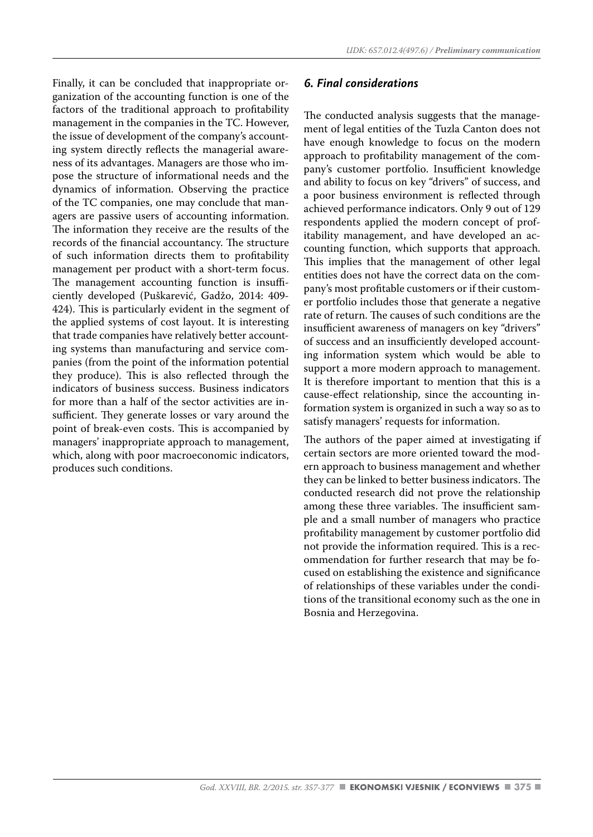Finally, it can be concluded that inappropriate organization of the accounting function is one of the factors of the traditional approach to profitability management in the companies in the TC. However, the issue of development of the company's accounting system directly reflects the managerial awareness of its advantages. Managers are those who impose the structure of informational needs and the dynamics of information. Observing the practice of the TC companies, one may conclude that managers are passive users of accounting information. The information they receive are the results of the records of the financial accountancy. The structure of such information directs them to profitability management per product with a short-term focus. The management accounting function is insufficiently developed (Puškarević, Gadžo, 2014: 409- 424). This is particularly evident in the segment of the applied systems of cost layout. It is interesting that trade companies have relatively better accounting systems than manufacturing and service companies (from the point of the information potential they produce). This is also reflected through the indicators of business success. Business indicators for more than a half of the sector activities are insufficient. They generate losses or vary around the point of break-even costs. This is accompanied by managers' inappropriate approach to management, which, along with poor macroeconomic indicators, produces such conditions.

#### *6. Final considerations*

The conducted analysis suggests that the management of legal entities of the Tuzla Canton does not have enough knowledge to focus on the modern approach to profitability management of the company's customer portfolio. Insufficient knowledge and ability to focus on key "drivers" of success, and a poor business environment is reflected through achieved performance indicators. Only 9 out of 129 respondents applied the modern concept of profitability management, and have developed an accounting function, which supports that approach. This implies that the management of other legal entities does not have the correct data on the company's most profitable customers or if their customer portfolio includes those that generate a negative rate of return. The causes of such conditions are the insufficient awareness of managers on key "drivers" of success and an insufficiently developed accounting information system which would be able to support a more modern approach to management. It is therefore important to mention that this is a cause-effect relationship, since the accounting information system is organized in such a way so as to satisfy managers' requests for information.

The authors of the paper aimed at investigating if certain sectors are more oriented toward the modern approach to business management and whether they can be linked to better business indicators. The conducted research did not prove the relationship among these three variables. The insufficient sample and a small number of managers who practice profitability management by customer portfolio did not provide the information required. This is a recommendation for further research that may be focused on establishing the existence and significance of relationships of these variables under the conditions of the transitional economy such as the one in Bosnia and Herzegovina.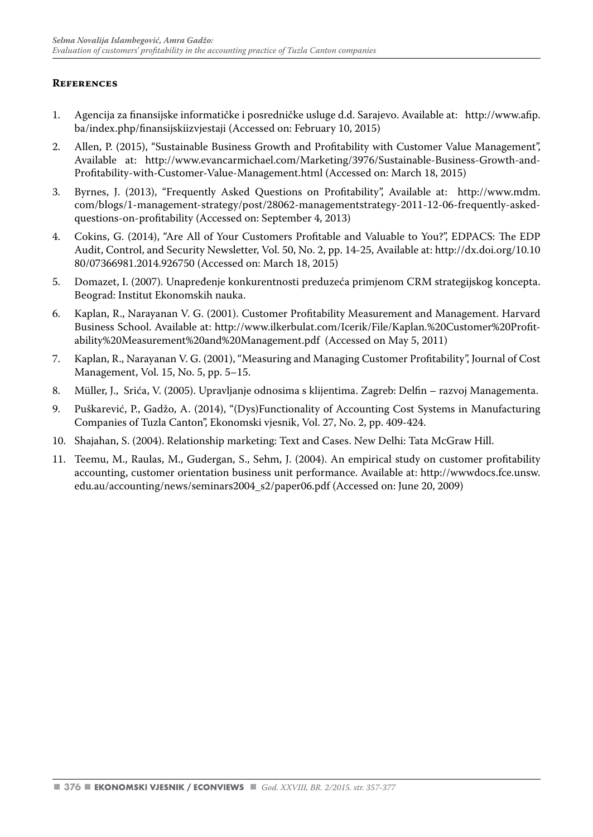#### **References**

- 1. Agencija za finansijske informatičke i posredničke usluge d.d. Sarajevo. Available at: http://www.afip. ba/index.php/finansijskiizvjestaji (Accessed on: February 10, 2015)
- 2. Allen, P. (2015), "Sustainable Business Growth and Profitability with Customer Value Management", Available at: http://www.evancarmichael.com/Marketing/3976/Sustainable-Business-Growth-and-Profitability-with-Customer-Value-Management.html (Accessed on: March 18, 2015)
- 3. Byrnes, J. (2013), "Frequently Asked Questions on Profitability", Available at: http://www.mdm. com/blogs/1-management-strategy/post/28062-managementstrategy-2011-12-06-frequently-askedquestions-on-profitability (Accessed on: September 4, 2013)
- 4. Cokins, G. (2014), "Are All of Your Customers Profitable and Valuable to You?", EDPACS: The EDP Audit, Control, and Security Newsletter, Vol. 50, No. 2, pp. 14-25, Available at: http://dx.doi.org/10.10 80/07366981.2014.926750 (Accessed on: March 18, 2015)
- 5. Domazet, I. (2007). Unapređenje konkurentnosti preduzeća primjenom CRM strategijskog koncepta. Beograd: Institut Ekonomskih nauka.
- 6. Kaplan, R., Narayanan V. G. (2001). Customer Profitability Measurement and Management. Harvard Business School. Available at: http://www.ilkerbulat.com/Icerik/File/Kaplan.%20Customer%20Profitability%20Measurement%20and%20Management.pdf (Accessed on May 5, 2011)
- 7. Kaplan, R., Narayanan V. G. (2001), "Measuring and Managing Customer Profitability", Journal of Cost Management, Vol. 15, No. 5, pp. 5–15.
- 8. Müller, J., Srića, V. (2005). Upravljanje odnosima s klijentima. Zagreb: Delfin razvoj Managementa.
- 9. Puškarević, P., Gadžo, A. (2014), "(Dys)Functionality of Accounting Cost Systems in Manufacturing Companies of Tuzla Canton", Ekonomski vjesnik, Vol. 27, No. 2, pp. 409-424.
- 10. Shajahan, S. (2004). Relationship marketing: Text and Cases. New Delhi: Tata McGraw Hill.
- 11. Teemu, M., Raulas, M., Gudergan, S., Sehm, J. (2004). An empirical study on customer profitability accounting, customer orientation business unit performance. Available at: http://wwwdocs.fce.unsw. edu.au/accounting/news/seminars2004\_s2/paper06.pdf (Accessed on: June 20, 2009)